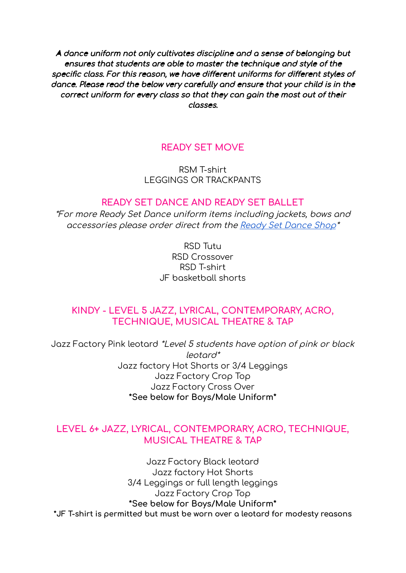A dance uniform not only cultivates discipline and <sup>a</sup> sense of belonging but ensures that students are able to master the technique and style of the specific class. For this reason, we have different uniforms for different styles of dance. Please read the below very carefully and ensure that your child is in the correct uniform for every class so that they can gain the most out of their classes.

# **READY SET MOVE**

RSM T-shirt LEGGINGS OR TRACKPANTS

#### **READY SET DANCE AND READY SET BALLET**

\*For more Ready Set Dance uniform items including jackets, bows and accessories please order direct from the [Ready](https://readyset.dance/shop/) Set Dance Shop\*

> RSD Tutu RSD Crossover RSD T-shirt JF basketball shorts

## **KINDY - LEVEL 5 JAZZ, LYRICAL, CONTEMPORARY, ACRO, TECHNIQUE, MUSICAL THEATRE & TAP**

Jazz Factory Pink leotard \*Level 5 students have option of pink or black leotard\* Jazz factory Hot Shorts or 3/4 Leggings Jazz Factory Crop Top Jazz Factory Cross Over **\*See below for Boys/Male Uniform\***

## **LEVEL 6+ JAZZ, LYRICAL, CONTEMPORARY, ACRO, TECHNIQUE, MUSICAL THEATRE & TAP**

Jazz Factory Black leotard Jazz factory Hot Shorts 3/4 Leggings or full length leggings Jazz Factory Crop Top **\*See below for Boys/Male Uniform\* \*JF T-shirt is permitted but must be worn over a leotard for modesty reasons**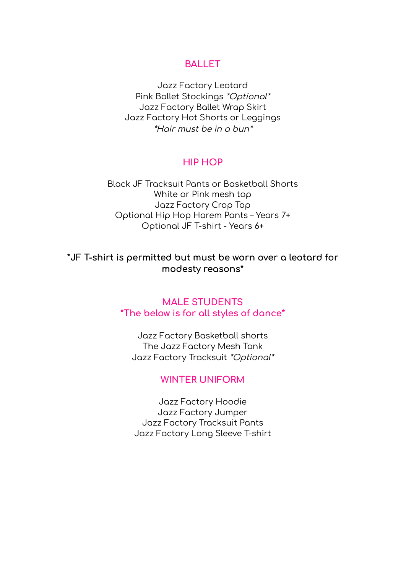## **BALLET**

Jazz Factory Leotard Pink Ballet Stockings \*Optional\* Jazz Factory Ballet Wrap Skirt Jazz Factory Hot Shorts or Leggings \*Hair must be in a bun\*

#### **HIP HOP**

Black JF Tracksuit Pants or Basketball Shorts White or Pink mesh top Jazz Factory Crop Top Optional Hip Hop Harem Pants – Years 7+ Optional JF T-shirt - Years 6+

**\*JF T-shirt is permitted but must be worn over a leotard for modesty reasons\***

# **MALE STUDENTS \*The below is for all styles of dance\***

Jazz Factory Basketball shorts The Jazz Factory Mesh Tank Jazz Factory Tracksuit \*Optional\*

### **WINTER UNIFORM**

Jazz Factory Hoodie Jazz Factory Jumper Jazz Factory Tracksuit Pants Jazz Factory Long Sleeve T-shirt